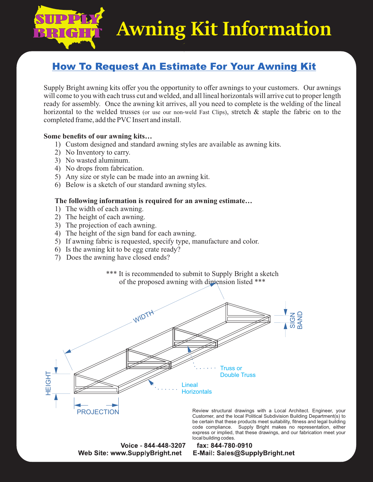**Awning Kit Information**

## How To Request An Estimate For Your Awning Kit

Supply Bright awning kits offer you the opportunity to offer awnings to your customers. Our awnings will come to you with each truss cut and welded, and all lineal horizontals will arrive cut to proper length ready for assembly. Once the awning kit arrives, all you need to complete is the welding of the lineal horizontal to the welded trusses (or use our non-weld Fast Clips), stretch  $\&$  staple the fabric on to the completed frame, add the PVC Insert and install.

### **Some benefits of our awning kits…**

- 1) Custom designed and standard awning styles are available as awning kits.
- 2) No Inventory to carry.
- 3) No wasted aluminum.
- 4) No drops from fabrication.
- 5) Any size or style can be made into an awning kit.
- 6) Below is a sketch of our standard awning styles.

### **The following information is required for an awning estimate…**

- 1) The width of each awning.
- 2) The height of each awning.
- 3) The projection of each awning.
- 4) The height of the sign band for each awning.
- 5) If awning fabric is requested, specify type, manufacture and color.
- 6) Is the awning kit to be egg crate ready?
- 7) Does the awning have closed ends?

\*\*\* It is recommended to submit to Supply Bright a sketch of the proposed awning with dimension listed \*\*\*



Customer, and the local Political Subdivision Building Department(s) to be certain that these products meet suitability, fitness and legal building code compliance. Supply Bright makes no representation, either express or implied, that these drawings, and our fabrication meet your local building codes.

Voice - 844-448-3207 Web Site: www.SupplyBright.net

fax: 844-780-0910 E-Mail: Sales@SupplyBright.net